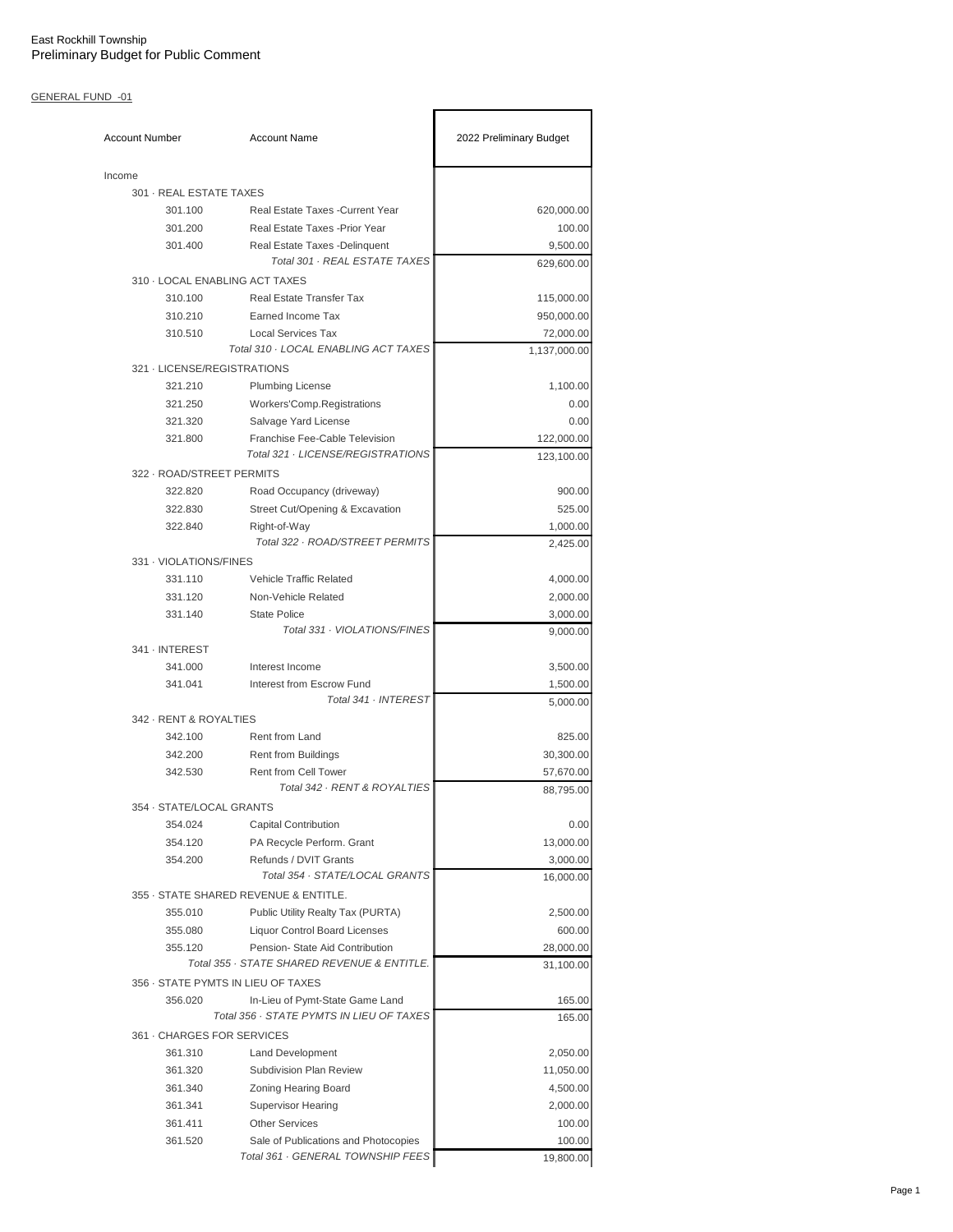| <b>Account Number</b>          | <b>Account Name</b>                                                 | 2022 Preliminary Budget |
|--------------------------------|---------------------------------------------------------------------|-------------------------|
| Income                         |                                                                     |                         |
| 301 - REAL ESTATE TAXES        |                                                                     |                         |
| 301.100                        | Real Estate Taxes - Current Year                                    | 620,000.00              |
| 301.200                        | Real Estate Taxes - Prior Year                                      | 100.00                  |
| 301.400                        | Real Estate Taxes - Delinquent                                      | 9,500.00                |
|                                | Total 301 · REAL ESTATE TAXES                                       | 629,600.00              |
| 310 - LOCAL ENABLING ACT TAXES |                                                                     |                         |
| 310.100                        | <b>Real Estate Transfer Tax</b>                                     | 115,000.00              |
| 310.210                        | Earned Income Tax                                                   | 950,000.00              |
| 310.510                        | <b>Local Services Tax</b><br>Total 310 · LOCAL ENABLING ACT TAXES   | 72,000.00               |
| 321 - LICENSE/REGISTRATIONS    |                                                                     | 1,137,000.00            |
|                                |                                                                     |                         |
| 321.210                        | <b>Plumbing License</b>                                             | 1,100.00                |
| 321.250                        | Workers'Comp.Registrations                                          | 0.00                    |
| 321.320                        | Salvage Yard License                                                | 0.00                    |
| 321.800                        | Franchise Fee-Cable Television<br>Total 321 · LICENSE/REGISTRATIONS | 122,000.00              |
|                                |                                                                     | 123,100.00              |
| 322 - ROAD/STREET PERMITS      |                                                                     |                         |
| 322.820                        | Road Occupancy (driveway)                                           | 900.00                  |
| 322.830                        | Street Cut/Opening & Excavation                                     | 525.00                  |
| 322.840                        | Right-of-Way                                                        | 1,000.00                |
|                                | Total 322 · ROAD/STREET PERMITS                                     | 2,425.00                |
| 331 - VIOLATIONS/FINES         |                                                                     |                         |
| 331.110                        | <b>Vehicle Traffic Related</b>                                      | 4,000.00                |
| 331.120                        | Non-Vehicle Related                                                 | 2,000.00                |
| 331.140                        | <b>State Police</b>                                                 | 3,000.00                |
|                                | Total 331 · VIOLATIONS/FINES                                        | 9,000.00                |
| 341 · INTEREST                 |                                                                     |                         |
| 341.000                        | Interest Income                                                     | 3,500.00                |
| 341.041                        | Interest from Escrow Fund<br>Total 341 · INTEREST                   | 1,500.00<br>5,000.00    |
| 342 - RENT & ROYALTIES         |                                                                     |                         |
| 342.100                        | Rent from Land                                                      | 825.00                  |
| 342.200                        | <b>Rent from Buildings</b>                                          | 30,300.00               |
| 342.530                        | <b>Rent from Cell Tower</b>                                         | 57,670.00               |
|                                | Total 342 · RENT & ROYALTIES                                        | 88,795.00               |
| 354 · STATE/LOCAL GRANTS       |                                                                     |                         |
| 354.024                        | <b>Capital Contribution</b>                                         | 0.00                    |
| 354.120                        | PA Recycle Perform. Grant                                           | 13,000.00               |
| 354.200                        | Refunds / DVIT Grants                                               | 3,000.00                |
|                                | Total 354 · STATE/LOCAL GRANTS                                      | 16,000.00               |
|                                | 355 · STATE SHARED REVENUE & ENTITLE.                               |                         |
| 355.010                        | Public Utility Realty Tax (PURTA)                                   | 2,500.00                |
| 355.080                        | <b>Liquor Control Board Licenses</b>                                | 600.00                  |
| 355.120                        | Pension- State Aid Contribution                                     | 28,000.00               |
|                                | Total 355 · STATE SHARED REVENUE & ENTITLE.                         | 31,100.00               |
|                                | 356 · STATE PYMTS IN LIEU OF TAXES                                  |                         |
| 356.020                        | In-Lieu of Pymt-State Game Land                                     | 165.00                  |
|                                | Total 356 · STATE PYMTS IN LIEU OF TAXES                            | 165.00                  |
| 361 GHARGES FOR SERVICES       |                                                                     |                         |
| 361.310                        | <b>Land Development</b>                                             | 2,050.00                |
| 361.320                        | Subdivision Plan Review                                             | 11,050.00               |
| 361.340                        | Zoning Hearing Board                                                | 4,500.00                |
| 361.341                        | <b>Supervisor Hearing</b>                                           | 2,000.00                |
| 361.411                        | <b>Other Services</b>                                               | 100.00                  |
| 361.520                        | Sale of Publications and Photocopies                                | 100.00                  |
|                                | Total 361 · GENERAL TOWNSHIP FEES                                   | 19,800.00               |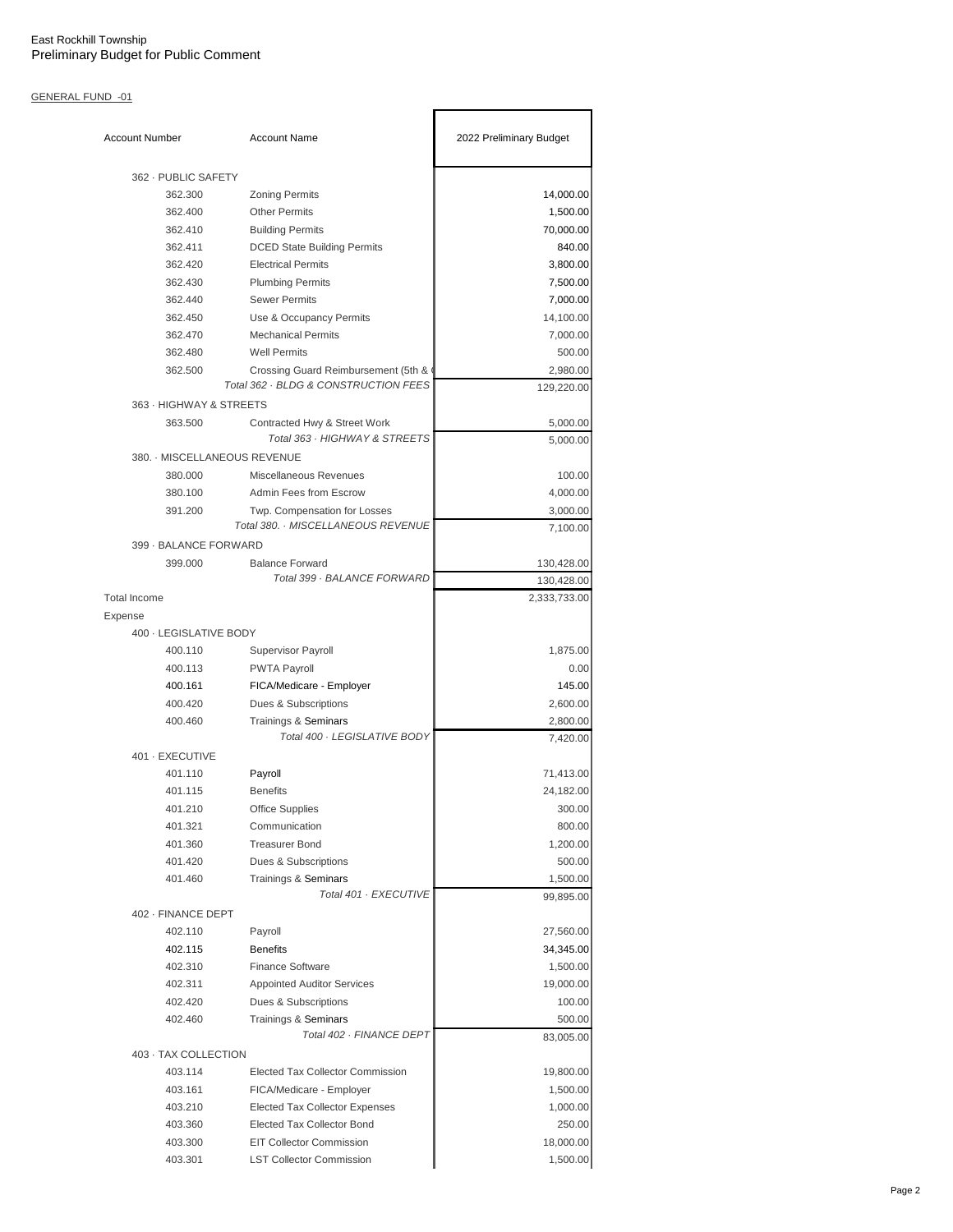| <b>Account Number</b>        | <b>Account Name</b>                                                         | 2022 Preliminary Budget |
|------------------------------|-----------------------------------------------------------------------------|-------------------------|
| 362 - PUBLIC SAFETY          |                                                                             |                         |
| 362.300                      | <b>Zoning Permits</b>                                                       | 14,000.00               |
| 362.400                      | <b>Other Permits</b>                                                        | 1,500.00                |
| 362.410                      | <b>Building Permits</b>                                                     | 70,000.00               |
| 362.411                      | <b>DCED State Building Permits</b>                                          | 840.00                  |
| 362.420                      | <b>Electrical Permits</b>                                                   | 3,800.00                |
| 362.430                      | <b>Plumbing Permits</b>                                                     | 7,500.00                |
| 362.440                      | <b>Sewer Permits</b>                                                        | 7,000.00                |
| 362.450                      | Use & Occupancy Permits                                                     | 14,100.00               |
| 362.470                      | <b>Mechanical Permits</b>                                                   | 7,000.00                |
| 362.480                      | <b>Well Permits</b>                                                         | 500.00                  |
| 362.500                      | Crossing Guard Reimbursement (5th &<br>Total 362 · BLDG & CONSTRUCTION FEES | 2,980.00                |
|                              |                                                                             | 129,220.00              |
| 363 - HIGHWAY & STREETS      |                                                                             |                         |
| 363.500                      | Contracted Hwy & Street Work                                                | 5,000.00                |
|                              | Total 363 · HIGHWAY & STREETS                                               | 5,000.00                |
| 380. - MISCELLANEOUS REVENUE |                                                                             |                         |
| 380.000                      | Miscellaneous Revenues                                                      | 100.00                  |
| 380.100                      | Admin Fees from Escrow                                                      | 4,000.00                |
| 391.200                      | Twp. Compensation for Losses                                                | 3,000.00                |
|                              | Total 380. MISCELLANEOUS REVENUE                                            | 7,100.00                |
| 399 - BALANCE FORWARD        |                                                                             |                         |
| 399.000                      | <b>Balance Forward</b><br>Total 399 · BALANCE FORWARD                       | 130,428.00              |
|                              |                                                                             | 130,428.00              |
| <b>Total Income</b>          |                                                                             | 2,333,733.00            |
| Expense                      |                                                                             |                         |
| 400 - LEGISLATIVE BODY       |                                                                             |                         |
| 400.110                      | Supervisor Payroll                                                          | 1,875.00                |
| 400.113                      | <b>PWTA Payroll</b>                                                         | 0.00                    |
| 400.161                      | FICA/Medicare - Employer                                                    | 145.00                  |
| 400.420                      | Dues & Subscriptions                                                        | 2,600.00                |
| 400.460                      | Trainings & Seminars<br>Total 400 · LEGISLATIVE BODY                        | 2,800.00<br>7,420.00    |
| 401 - EXECUTIVE              |                                                                             |                         |
| 401.110                      | Payroll                                                                     | 71,413.00               |
| 401.115                      | <b>Benefits</b>                                                             | 24,182.00               |
| 401.210                      | <b>Office Supplies</b>                                                      | 300.00                  |
| 401.321                      | Communication                                                               | 800.00                  |
| 401.360                      | <b>Treasurer Bond</b>                                                       | 1,200.00                |
| 401.420                      | Dues & Subscriptions                                                        | 500.00                  |
| 401.460                      | Trainings & Seminars                                                        | 1,500.00                |
|                              | Total 401 · EXECUTIVE                                                       | 99,895.00               |
| 402 - FINANCE DEPT           |                                                                             |                         |
| 402.110                      | Payroll                                                                     | 27,560.00               |
| 402.115                      | <b>Benefits</b>                                                             | 34,345.00               |
| 402.310                      | <b>Finance Software</b>                                                     | 1,500.00                |
| 402.311                      | <b>Appointed Auditor Services</b>                                           | 19,000.00               |
| 402.420                      | Dues & Subscriptions                                                        | 100.00                  |
| 402.460                      | Trainings & Seminars                                                        | 500.00                  |
| 403 · TAX COLLECTION         | Total 402 · FINANCE DEPT                                                    | 83,005.00               |
| 403.114                      | <b>Elected Tax Collector Commission</b>                                     | 19,800.00               |
| 403.161                      | FICA/Medicare - Employer                                                    | 1,500.00                |
| 403.210                      | <b>Elected Tax Collector Expenses</b>                                       | 1,000.00                |
| 403.360                      | <b>Elected Tax Collector Bond</b>                                           | 250.00                  |
| 403.300                      | <b>EIT Collector Commission</b>                                             |                         |
|                              |                                                                             | 18,000.00               |
| 403.301                      | <b>LST Collector Commission</b>                                             | 1,500.00                |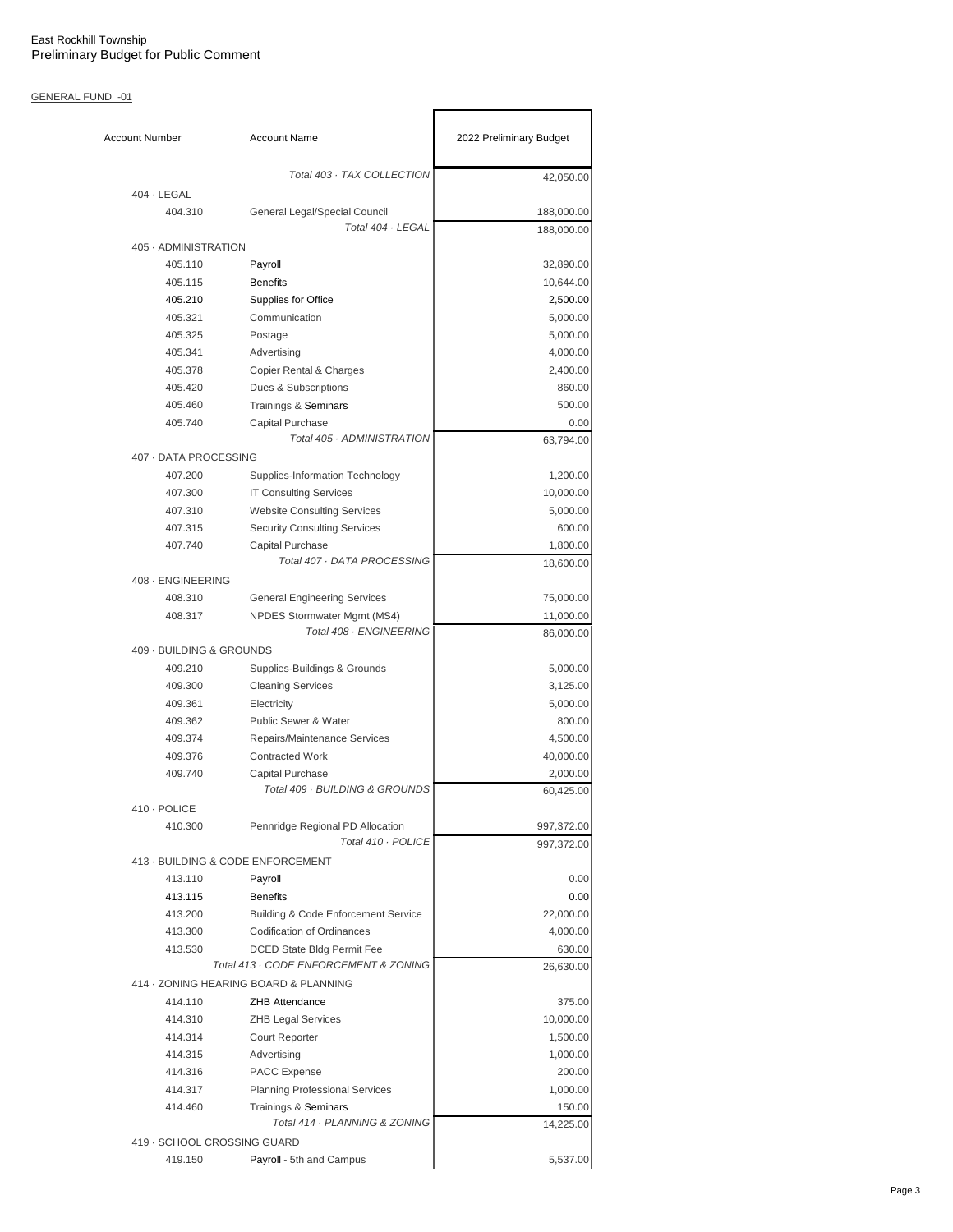| <b>Account Number</b>       | <b>Account Name</b>                                                 | 2022 Preliminary Budget  |
|-----------------------------|---------------------------------------------------------------------|--------------------------|
|                             | Total 403 · TAX COLLECTION                                          | 42,050.00                |
| $404 \cdot$ LEGAL           |                                                                     |                          |
| 404.310                     | General Legal/Special Council<br>Total 404 · LEGAL                  | 188,000.00<br>188,000.00 |
| 405 · ADMINISTRATION        |                                                                     |                          |
| 405.110                     | Payroll                                                             | 32,890.00                |
| 405.115                     | <b>Benefits</b>                                                     | 10,644.00                |
| 405.210                     | Supplies for Office                                                 | 2,500.00                 |
| 405.321                     | Communication                                                       | 5,000.00                 |
| 405.325                     | Postage                                                             | 5,000.00                 |
| 405.341                     | Advertising                                                         | 4,000.00                 |
| 405.378                     | Copier Rental & Charges                                             | 2,400.00                 |
| 405.420                     | Dues & Subscriptions                                                | 860.00                   |
| 405.460                     | Trainings & Seminars                                                | 500.00                   |
| 405.740                     | Capital Purchase                                                    | 0.00                     |
|                             | Total 405 · ADMINISTRATION                                          | 63,794.00                |
| 407 - DATA PROCESSING       |                                                                     |                          |
| 407.200                     | Supplies-Information Technology                                     | 1,200.00                 |
| 407.300                     | <b>IT Consulting Services</b>                                       | 10,000.00                |
| 407.310                     | <b>Website Consulting Services</b>                                  | 5,000.00                 |
| 407.315                     | <b>Security Consulting Services</b>                                 | 600.00                   |
| 407.740                     | <b>Capital Purchase</b>                                             | 1,800.00                 |
|                             | Total 407 · DATA PROCESSING                                         | 18,600.00                |
| 408 · ENGINEERING           |                                                                     |                          |
| 408.310                     | <b>General Engineering Services</b>                                 | 75,000.00                |
| 408.317                     | NPDES Stormwater Mgmt (MS4)                                         | 11,000.00                |
|                             | Total 408 · ENGINEERING                                             | 86,000.00                |
| 409 - BUILDING & GROUNDS    |                                                                     |                          |
| 409.210                     | Supplies-Buildings & Grounds                                        | 5,000.00                 |
| 409.300                     | <b>Cleaning Services</b>                                            | 3,125.00                 |
| 409.361                     | Electricity                                                         | 5,000.00                 |
| 409.362                     | <b>Public Sewer &amp; Water</b>                                     | 800.00                   |
| 409.374                     | Repairs/Maintenance Services                                        | 4,500.00                 |
| 409.376                     | <b>Contracted Work</b>                                              | 40,000.00                |
| 409.740                     | Capital Purchase                                                    | 2,000.00                 |
|                             | Total 409 · BUILDING & GROUNDS                                      | 60,425.00                |
| 410 · POLICE                |                                                                     |                          |
| 410.300                     | Pennridge Regional PD Allocation<br>Total 410 · POLICE              | 997,372.00               |
|                             |                                                                     | 997,372.00               |
|                             | 413 - BUILDING & CODE ENFORCEMENT                                   |                          |
| 413.110                     | Payroll                                                             | 0.00                     |
| 413.115                     | <b>Benefits</b>                                                     | 0.00                     |
| 413.200                     | <b>Building &amp; Code Enforcement Service</b>                      | 22,000.00                |
| 413.300                     | <b>Codification of Ordinances</b>                                   | 4,000.00                 |
| 413.530                     | DCED State Bldg Permit Fee<br>Total 413 · CODE ENFORCEMENT & ZONING | 630.00<br>26,630.00      |
|                             | 414 · ZONING HEARING BOARD & PLANNING                               |                          |
| 414.110                     | <b>ZHB Attendance</b>                                               | 375.00                   |
| 414.310                     | <b>ZHB Legal Services</b>                                           | 10,000.00                |
| 414.314                     | Court Reporter                                                      | 1,500.00                 |
| 414.315                     | Advertising                                                         | 1,000.00                 |
| 414.316                     | PACC Expense                                                        | 200.00                   |
| 414.317                     | <b>Planning Professional Services</b>                               | 1,000.00                 |
| 414.460                     | Trainings & Seminars                                                | 150.00                   |
|                             | Total 414 · PLANNING & ZONING                                       | 14,225.00                |
| 419 - SCHOOL CROSSING GUARD |                                                                     |                          |
| 419.150                     | Payroll - 5th and Campus                                            | 5,537.00                 |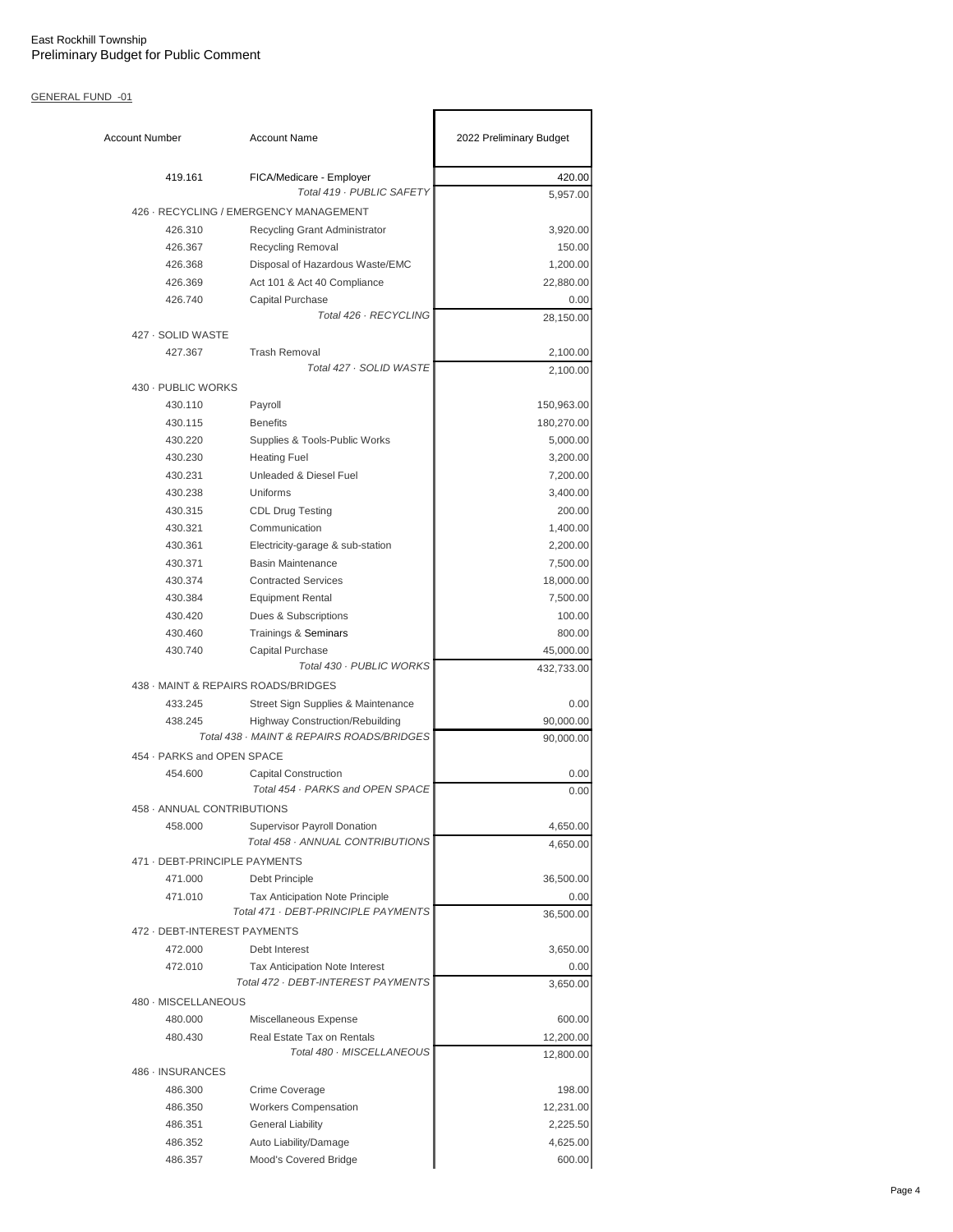| <b>Account Number</b>         | <b>Account Name</b>                                             | 2022 Preliminary Budget |
|-------------------------------|-----------------------------------------------------------------|-------------------------|
| 419.161                       | FICA/Medicare - Employer<br>Total 419 - PUBLIC SAFETY           | 420.00                  |
|                               | 426 · RECYCLING / EMERGENCY MANAGEMENT                          | 5,957.00                |
| 426.310                       |                                                                 |                         |
| 426.367                       | Recycling Grant Administrator                                   | 3,920.00<br>150.00      |
| 426.368                       | Recycling Removal<br>Disposal of Hazardous Waste/EMC            | 1,200.00                |
| 426.369                       | Act 101 & Act 40 Compliance                                     | 22,880.00               |
| 426.740                       | Capital Purchase                                                | 0.00                    |
|                               | Total 426 · RECYCLING                                           | 28,150.00               |
| 427 · SOLID WASTE             |                                                                 |                         |
| 427.367                       | <b>Trash Removal</b>                                            | 2,100.00                |
|                               | Total 427 · SOLID WASTE                                         | 2,100.00                |
| 430 - PUBLIC WORKS            |                                                                 |                         |
| 430.110                       | Payroll                                                         | 150,963.00              |
| 430.115                       | <b>Benefits</b>                                                 | 180,270.00              |
| 430.220                       | Supplies & Tools-Public Works                                   | 5,000.00                |
| 430.230                       | <b>Heating Fuel</b>                                             | 3,200.00                |
| 430.231                       | Unleaded & Diesel Fuel                                          | 7,200.00                |
| 430.238                       | Uniforms                                                        | 3,400.00                |
| 430.315                       | <b>CDL Drug Testing</b>                                         | 200.00                  |
| 430.321                       | Communication                                                   | 1,400.00                |
| 430.361                       | Electricity-garage & sub-station                                | 2,200.00                |
| 430.371                       | <b>Basin Maintenance</b>                                        | 7,500.00                |
| 430.374                       | <b>Contracted Services</b>                                      | 18,000.00               |
| 430.384                       | <b>Equipment Rental</b>                                         | 7,500.00                |
| 430.420                       | Dues & Subscriptions                                            | 100.00                  |
| 430.460                       | Trainings & Seminars                                            | 800.00                  |
| 430.740                       | Capital Purchase                                                | 45,000.00               |
|                               | Total 430 · PUBLIC WORKS                                        | 432,733.00              |
|                               | 438 - MAINT & REPAIRS ROADS/BRIDGES                             |                         |
| 433.245                       | Street Sign Supplies & Maintenance                              | 0.00                    |
| 438.245                       | <b>Highway Construction/Rebuilding</b>                          | 90,000.00               |
|                               | Total 438 · MAINT & REPAIRS ROADS/BRIDGES                       | 90,000.00               |
| 454 · PARKS and OPEN SPACE    |                                                                 |                         |
| 454.600                       | <b>Capital Construction</b><br>Total 454 · PARKS and OPEN SPACE | 0.00<br>0.00            |
| 458 - ANNUAL CONTRIBUTIONS    |                                                                 |                         |
| 458.000                       | <b>Supervisor Payroll Donation</b>                              | 4,650.00                |
|                               | Total 458 · ANNUAL CONTRIBUTIONS                                | 4,650.00                |
| 471 - DEBT-PRINCIPLE PAYMENTS |                                                                 |                         |
| 471.000                       | Debt Principle                                                  | 36,500.00               |
| 471.010                       | Tax Anticipation Note Principle                                 | 0.00                    |
|                               | Total 471 · DEBT-PRINCIPLE PAYMENTS                             | 36,500.00               |
| 472 - DEBT-INTEREST PAYMENTS  |                                                                 |                         |
| 472.000                       | Debt Interest                                                   | 3,650.00                |
| 472.010                       | <b>Tax Anticipation Note Interest</b>                           | 0.00                    |
|                               | Total 472 · DEBT-INTEREST PAYMENTS                              | 3,650.00                |
| 480 - MISCELLANEOUS           |                                                                 |                         |
| 480.000                       | Miscellaneous Expense                                           | 600.00                  |
| 480.430                       | Real Estate Tax on Rentals                                      | 12,200.00               |
|                               | Total 480 · MISCELLANEOUS                                       | 12,800.00               |
| 486 · INSURANCES              |                                                                 |                         |
| 486.300                       | Crime Coverage                                                  | 198.00                  |
| 486.350                       | <b>Workers Compensation</b>                                     | 12,231.00               |
| 486.351                       | <b>General Liability</b>                                        | 2,225.50                |
| 486.352                       | Auto Liability/Damage                                           | 4,625.00                |
| 486.357                       | Mood's Covered Bridge                                           | 600.00                  |
|                               |                                                                 |                         |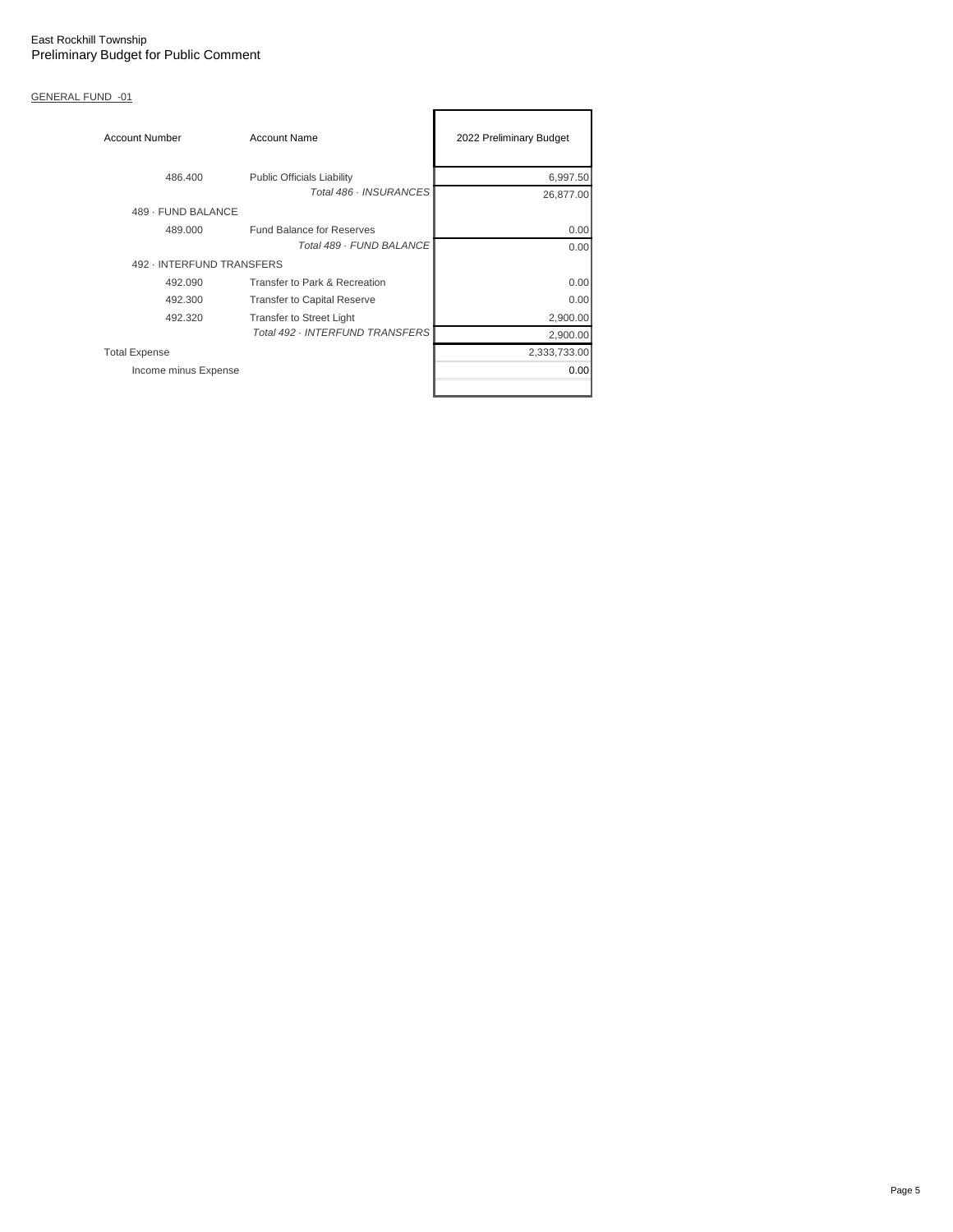| <b>Account Number</b>     | <b>Account Name</b>                | 2022 Preliminary Budget |
|---------------------------|------------------------------------|-------------------------|
| 486.400                   | <b>Public Officials Liability</b>  | 6,997.50                |
|                           | Total 486 · INSURANCES             | 26,877.00               |
| 489 - FUND BALANCE        |                                    |                         |
| 489.000                   | <b>Fund Balance for Reserves</b>   | 0.00                    |
|                           | Total 489 - FUND BALANCE           | 0.00                    |
| 492 - INTERFUND TRANSFERS |                                    |                         |
| 492.090                   | Transfer to Park & Recreation      | 0.00                    |
| 492.300                   | <b>Transfer to Capital Reserve</b> | 0.00                    |
| 492.320                   | <b>Transfer to Street Light</b>    | 2,900.00                |
|                           | Total 492 · INTERFUND TRANSFERS    | 2,900.00                |
| <b>Total Expense</b>      |                                    | 2,333,733.00            |
| Income minus Expense      |                                    | 0.00                    |
|                           |                                    |                         |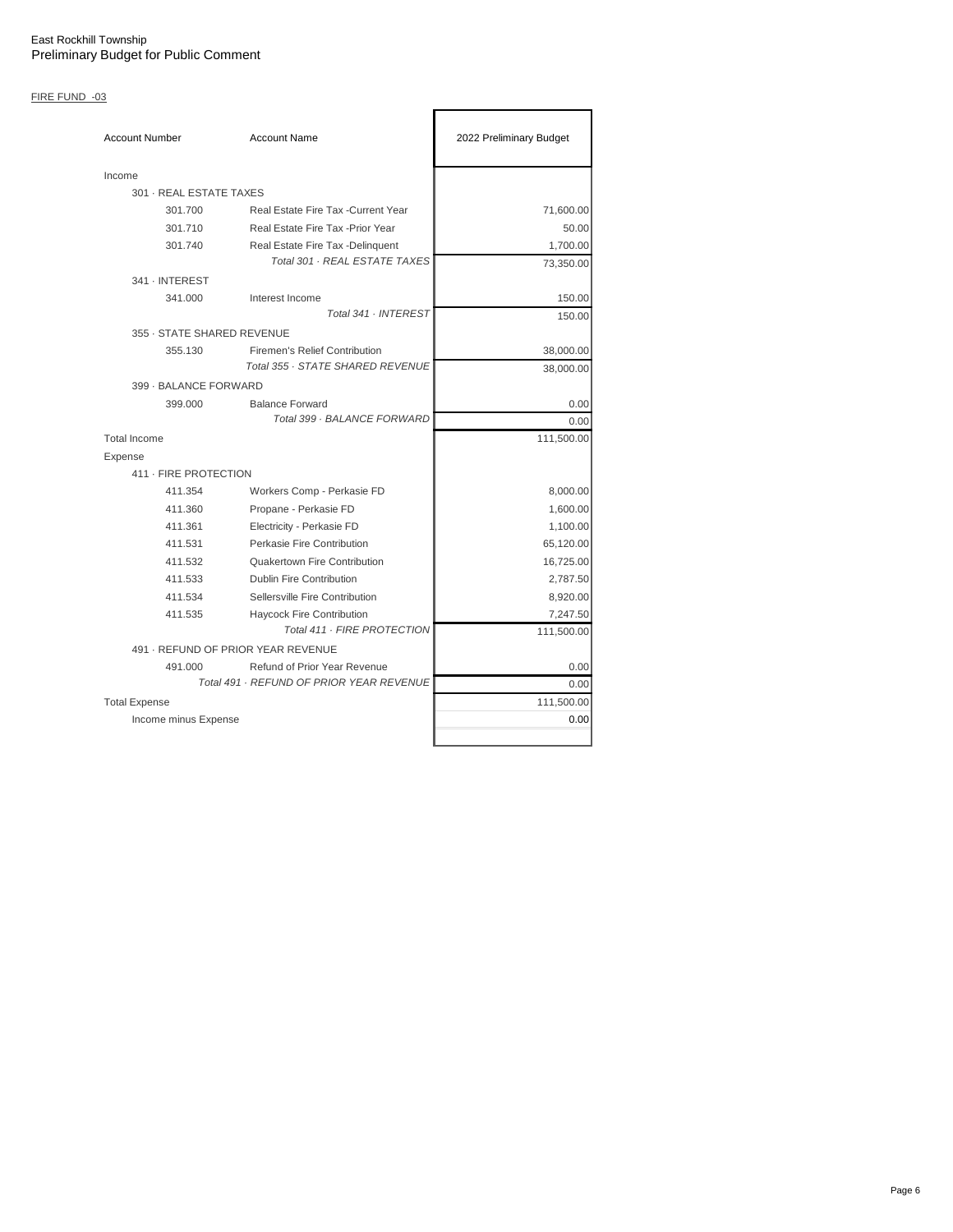# FIRE FUND -03

| <b>Account Number</b>      | <b>Account Name</b>                                                | 2022 Preliminary Budget |
|----------------------------|--------------------------------------------------------------------|-------------------------|
| Income                     |                                                                    |                         |
| 301 · REAL ESTATE TAXES    |                                                                    |                         |
| 301.700                    | Real Estate Fire Tax - Current Year                                | 71,600.00               |
| 301.710                    | Real Estate Fire Tax - Prior Year                                  | 50.00                   |
| 301.740                    | Real Estate Fire Tax - Delinquent<br>Total 301 · REAL ESTATE TAXES | 1,700.00<br>73,350.00   |
| 341 · INTEREST             |                                                                    |                         |
| 341.000                    | Interest Income                                                    | 150.00                  |
|                            | Total 341 · INTEREST                                               | 150.00                  |
| 355 · STATE SHARED REVENUE |                                                                    |                         |
| 355.130                    | Firemen's Relief Contribution                                      | 38,000.00               |
|                            | Total 355 · STATE SHARED REVENUE                                   | 38,000.00               |
| 399 - BALANCE FORWARD      |                                                                    |                         |
| 399.000                    | <b>Balance Forward</b>                                             | 0.00                    |
|                            | Total 399 · BALANCE FORWARD                                        | 0.00                    |
| <b>Total Income</b>        |                                                                    | 111,500.00              |
| Expense                    |                                                                    |                         |
| 411 - FIRE PROTECTION      |                                                                    |                         |
| 411.354                    | Workers Comp - Perkasie FD                                         | 8,000.00                |
| 411.360                    | Propane - Perkasie FD                                              | 1,600.00                |
| 411.361                    | Electricity - Perkasie FD                                          | 1,100.00                |
| 411.531                    | Perkasie Fire Contribution                                         | 65,120.00               |
| 411.532                    | Quakertown Fire Contribution                                       | 16,725.00               |
| 411.533                    | <b>Dublin Fire Contribution</b>                                    | 2,787.50                |
| 411.534                    | Sellersville Fire Contribution                                     | 8,920.00                |
| 411.535                    | <b>Haycock Fire Contribution</b>                                   | 7,247.50                |
|                            | Total 411 - FIRE PROTECTION                                        | 111,500.00              |
|                            | 491 - REFUND OF PRIOR YEAR REVENUE                                 |                         |
| 491.000                    | Refund of Prior Year Revenue                                       | 0.00                    |
|                            | Total 491 · REFUND OF PRIOR YEAR REVENUE                           | 0.00                    |
| <b>Total Expense</b>       |                                                                    | 111,500.00              |
| Income minus Expense       |                                                                    | 0.00                    |
|                            |                                                                    |                         |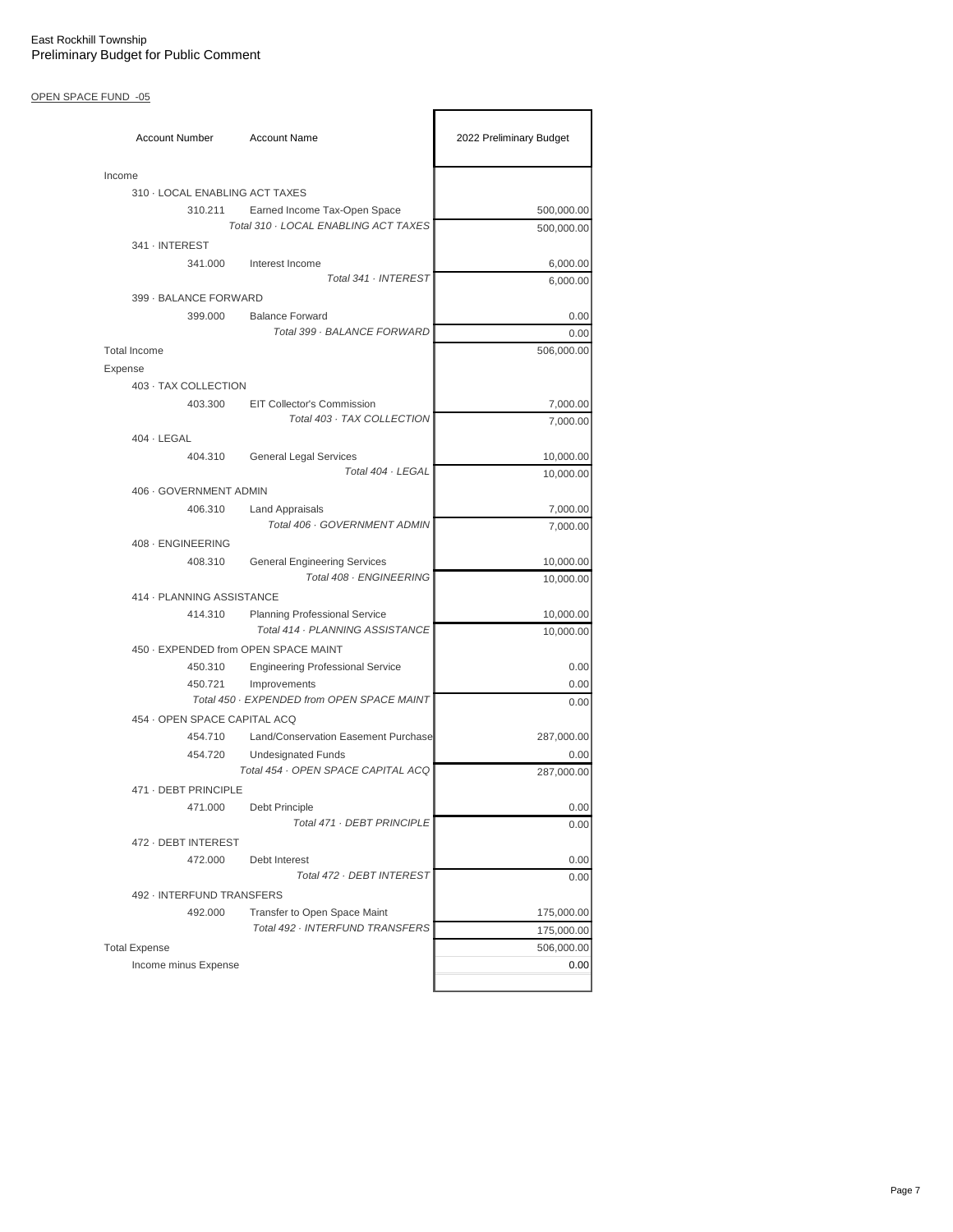# OPEN SPACE FUND -05

| <b>Account Number</b>          | <b>Account Name</b>                                            | 2022 Preliminary Budget |
|--------------------------------|----------------------------------------------------------------|-------------------------|
| Income                         |                                                                |                         |
| 310 - LOCAL ENABLING ACT TAXES |                                                                |                         |
| 310.211                        | Earned Income Tax-Open Space                                   | 500,000.00              |
|                                | Total 310 · LOCAL ENABLING ACT TAXES                           | 500,000.00              |
| 341 · INTEREST                 |                                                                |                         |
| 341.000                        | Interest Income                                                | 6,000.00                |
|                                | Total 341 · INTEREST                                           | 6,000.00                |
| 399 - BALANCE FORWARD          |                                                                |                         |
| 399.000                        | <b>Balance Forward</b>                                         | 0.00                    |
|                                | Total 399 · BALANCE FORWARD                                    | 0.00                    |
| <b>Total Income</b>            |                                                                | 506,000.00              |
| Expense                        |                                                                |                         |
| 403 · TAX COLLECTION           |                                                                |                         |
| 403.300                        | <b>EIT Collector's Commission</b>                              | 7,000.00                |
|                                | Total 403 · TAX COLLECTION                                     | 7,000.00                |
| $404 \cdot$ LEGAL              |                                                                |                         |
| 404.310                        | <b>General Legal Services</b><br>Total 404 · LEGAL             | 10,000.00               |
|                                |                                                                | 10,000.00               |
| 406 - GOVERNMENT ADMIN         |                                                                |                         |
| 406.310                        | <b>Land Appraisals</b><br>Total 406 · GOVERNMENT ADMIN         | 7,000.00                |
|                                |                                                                | 7,000.00                |
| 408 - ENGINEERING              |                                                                |                         |
| 408.310                        | <b>General Engineering Services</b><br>Total 408 · ENGINEERING | 10,000.00<br>10,000.00  |
| 414 - PLANNING ASSISTANCE      |                                                                |                         |
| 414.310                        | <b>Planning Professional Service</b>                           | 10,000.00               |
|                                | Total 414 · PLANNING ASSISTANCE                                | 10,000.00               |
|                                | 450 · EXPENDED from OPEN SPACE MAINT                           |                         |
| 450.310                        | <b>Engineering Professional Service</b>                        | 0.00                    |
| 450.721                        | Improvements                                                   | 0.00                    |
|                                | Total 450 · EXPENDED from OPEN SPACE MAINT                     | 0.00                    |
| 454 · OPEN SPACE CAPITAL ACQ   |                                                                |                         |
| 454.710                        | Land/Conservation Easement Purchase                            | 287,000.00              |
| 454.720                        | <b>Undesignated Funds</b>                                      | 0.00                    |
|                                | Total 454 · OPEN SPACE CAPITAL ACQ                             | 287,000.00              |
| 471 - DEBT PRINCIPLE           |                                                                |                         |
| 471.000                        | Debt Principle                                                 | 0.00                    |
|                                | Total 471 · DEBT PRINCIPLE                                     | 0.00                    |
| 472 - DEBT INTEREST            |                                                                |                         |
| 472.000                        | Debt Interest                                                  | 0.00                    |
|                                | Total 472 · DEBT INTEREST                                      | 0.00                    |
| 492 - INTERFUND TRANSFERS      |                                                                |                         |
| 492.000                        | Transfer to Open Space Maint                                   | 175,000.00              |
|                                | Total 492 · INTERFUND TRANSFERS                                | 175,000.00              |
| <b>Total Expense</b>           |                                                                | 506,000.00              |
| Income minus Expense           |                                                                | 0.00                    |
|                                |                                                                |                         |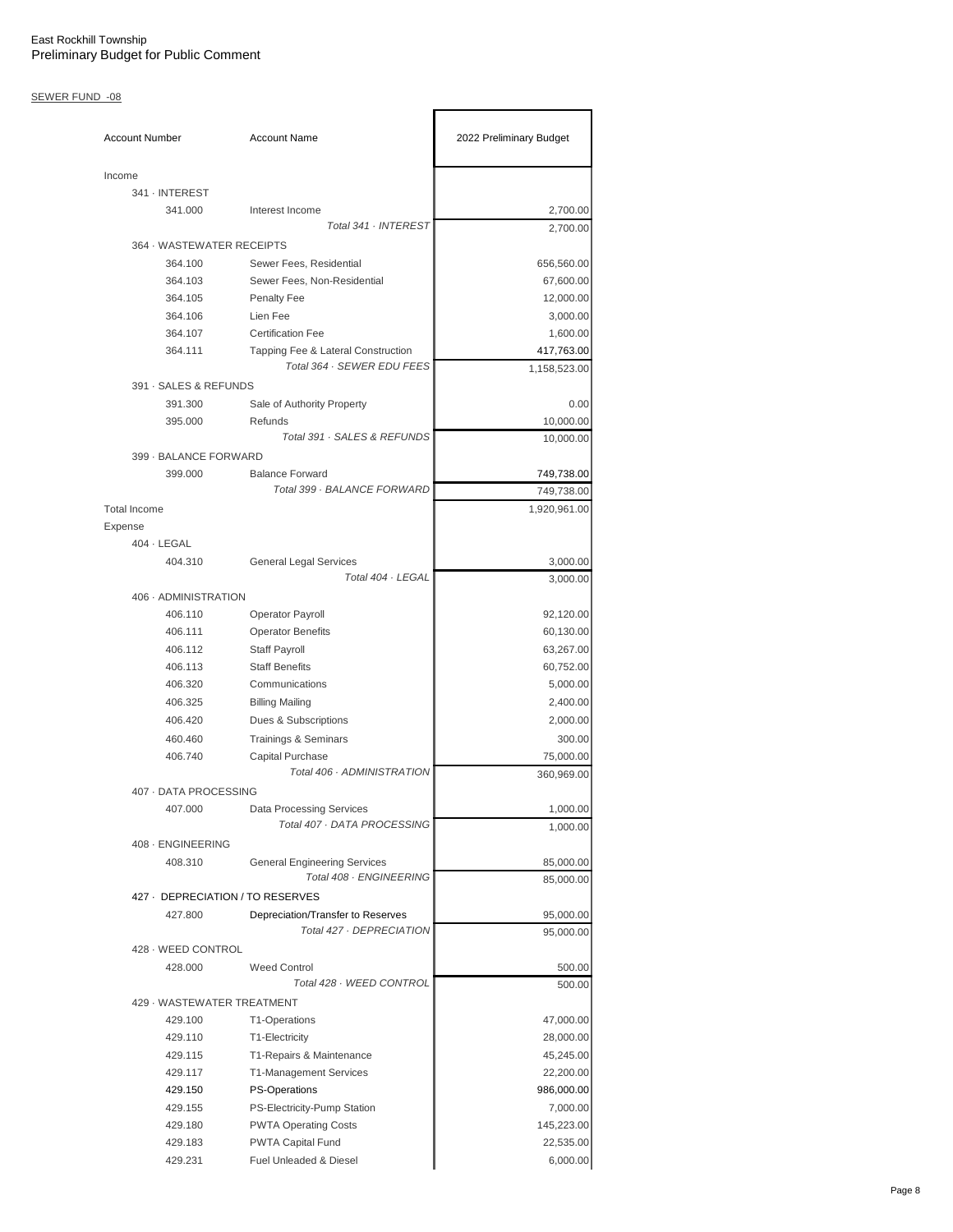## SEWER FUND -08

| <b>Account Number</b>            | <b>Account Name</b>                                | 2022 Preliminary Budget |
|----------------------------------|----------------------------------------------------|-------------------------|
| Income                           |                                                    |                         |
| 341 · INTEREST                   |                                                    |                         |
| 341.000                          | Interest Income                                    | 2,700.00                |
|                                  | Total 341 · INTEREST                               | 2,700.00                |
| 364 · WASTEWATER RECEIPTS        |                                                    |                         |
| 364.100                          | Sewer Fees, Residential                            | 656,560.00              |
| 364.103                          | Sewer Fees, Non-Residential                        | 67,600.00               |
| 364.105                          | <b>Penalty Fee</b>                                 | 12,000.00               |
| 364.106                          | Lien Fee                                           | 3,000.00                |
| 364.107                          | <b>Certification Fee</b>                           | 1,600.00                |
| 364.111                          | Tapping Fee & Lateral Construction                 | 417,763.00              |
|                                  | Total 364 · SEWER EDU FEES                         | 1,158,523.00            |
| 391 · SALES & REFUNDS            |                                                    |                         |
| 391.300                          | Sale of Authority Property                         | 0.00                    |
| 395.000                          | Refunds<br>Total 391 · SALES & REFUNDS             | 10,000.00               |
| 399 - BALANCE FORWARD            |                                                    | 10,000.00               |
| 399.000                          | <b>Balance Forward</b>                             | 749,738.00              |
|                                  | Total 399 · BALANCE FORWARD                        | 749,738.00              |
| <b>Total Income</b>              |                                                    | 1,920,961.00            |
|                                  |                                                    |                         |
| Expense<br>$404 \cdot$ LEGAL     |                                                    |                         |
| 404.310                          |                                                    | 3,000.00                |
|                                  | <b>General Legal Services</b><br>Total 404 · LEGAL | 3,000.00                |
| 406 · ADMINISTRATION             |                                                    |                         |
| 406.110                          |                                                    | 92,120.00               |
| 406.111                          | Operator Payroll                                   |                         |
|                                  | <b>Operator Benefits</b>                           | 60,130.00               |
| 406.112                          | Staff Payroll                                      | 63,267.00               |
| 406.113                          | <b>Staff Benefits</b><br>Communications            | 60,752.00               |
| 406.320                          |                                                    | 5,000.00                |
| 406.325                          | <b>Billing Mailing</b>                             | 2,400.00                |
| 406.420                          | Dues & Subscriptions                               | 2,000.00                |
| 460.460                          | <b>Trainings &amp; Seminars</b>                    | 300.00                  |
| 406.740                          | Capital Purchase<br>Total 406 · ADMINISTRATION     | 75,000.00<br>360,969.00 |
| 407 - DATA PROCESSING            |                                                    |                         |
| 407.000                          | Data Processing Services                           | 1,000.00                |
|                                  | Total 407 · DATA PROCESSING                        | 1,000.00                |
| 408 - ENGINEERING                |                                                    |                         |
| 408.310                          | <b>General Engineering Services</b>                | 85,000.00               |
|                                  | Total 408 · ENGINEERING                            | 85,000.00               |
| 427 - DEPRECIATION / TO RESERVES |                                                    |                         |
| 427.800                          | Depreciation/Transfer to Reserves                  | 95,000.00               |
|                                  | Total 427 · DEPRECIATION                           | 95,000.00               |
| 428 · WEED CONTROL               |                                                    |                         |
| 428.000                          | <b>Weed Control</b>                                | 500.00                  |
|                                  | Total 428 · WEED CONTROL                           | 500.00                  |
| 429 - WASTEWATER TREATMENT       |                                                    |                         |
| 429.100                          | T1-Operations                                      | 47,000.00               |
| 429.110                          | T1-Electricity                                     | 28,000.00               |
| 429.115                          | T1-Repairs & Maintenance                           | 45,245.00               |
| 429.117                          | T1-Management Services                             | 22,200.00               |
| 429.150                          | <b>PS-Operations</b>                               | 986,000.00              |
| 429.155                          | PS-Electricity-Pump Station                        | 7,000.00                |
| 429.180                          | <b>PWTA Operating Costs</b>                        | 145,223.00              |
| 429.183                          | PWTA Capital Fund                                  | 22,535.00               |
| 429.231                          | Fuel Unleaded & Diesel                             | 6,000.00                |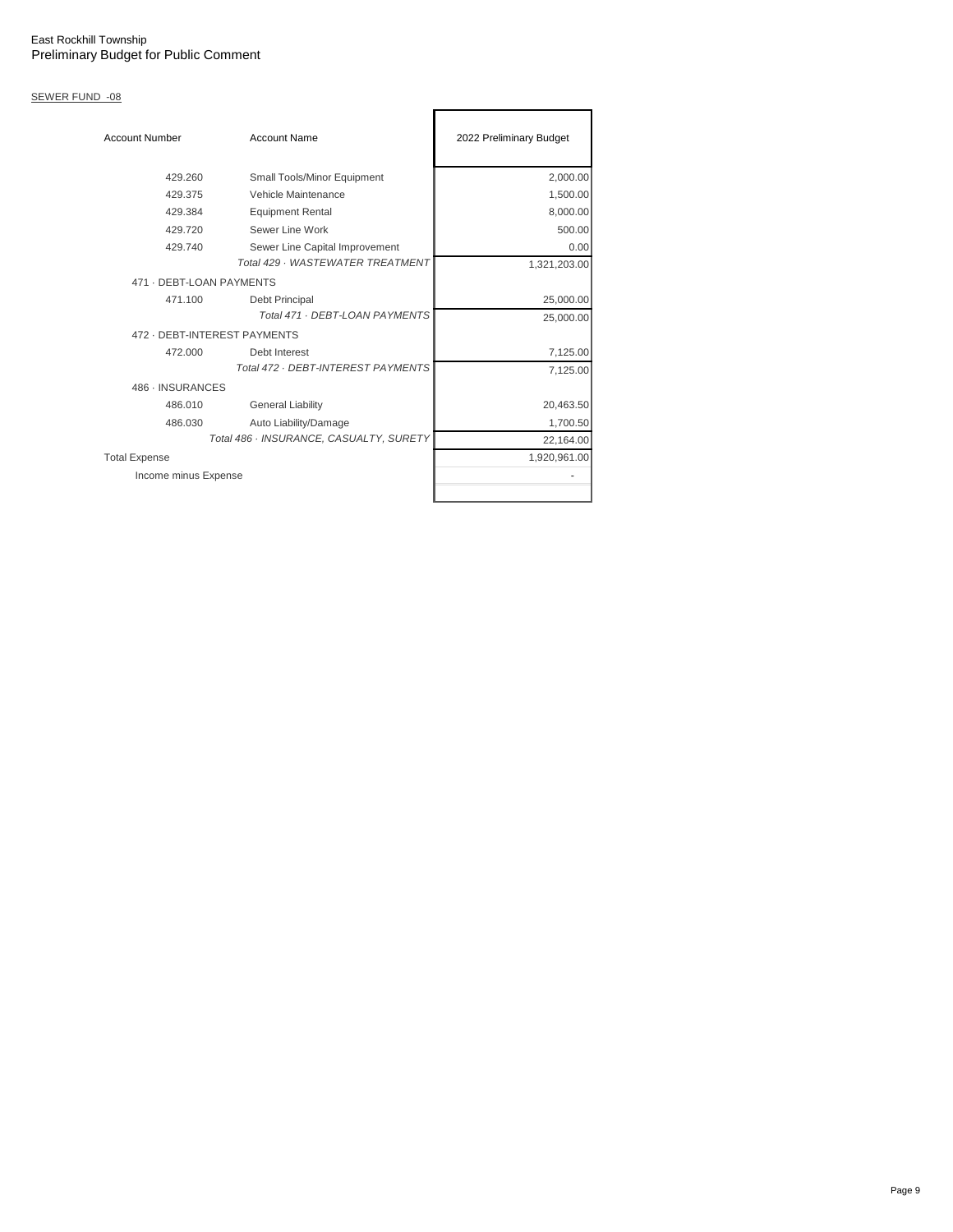# SEWER FUND -08

| <b>Account Number</b>    | <b>Account Name</b>                     | 2022 Preliminary Budget |
|--------------------------|-----------------------------------------|-------------------------|
| 429.260                  | Small Tools/Minor Equipment             | 2,000.00                |
| 429.375                  | Vehicle Maintenance                     | 1,500.00                |
| 429.384                  | <b>Equipment Rental</b>                 | 8,000.00                |
| 429.720                  | Sewer Line Work                         | 500.00                  |
| 429.740                  | Sewer Line Capital Improvement          | 0.00                    |
|                          | Total 429 - WASTEWATER TREATMENT        | 1,321,203.00            |
| 471 - DEBT-LOAN PAYMENTS |                                         |                         |
| 471.100                  | Debt Principal                          | 25,000.00               |
|                          | Total 471 - DEBT-LOAN PAYMENTS          | 25,000.00               |
|                          | 472 - DEBT-INTEREST PAYMENTS            |                         |
| 472.000                  | Debt Interest                           | 7,125.00                |
|                          | Total 472 · DEBT-INTEREST PAYMENTS      | 7,125.00                |
| 486 · INSURANCES         |                                         |                         |
| 486.010                  | <b>General Liability</b>                | 20,463.50               |
| 486.030                  | Auto Liability/Damage                   | 1,700.50                |
|                          | Total 486 · INSURANCE, CASUALTY, SURETY | 22,164.00               |
| <b>Total Expense</b>     |                                         | 1,920,961.00            |
| Income minus Expense     |                                         |                         |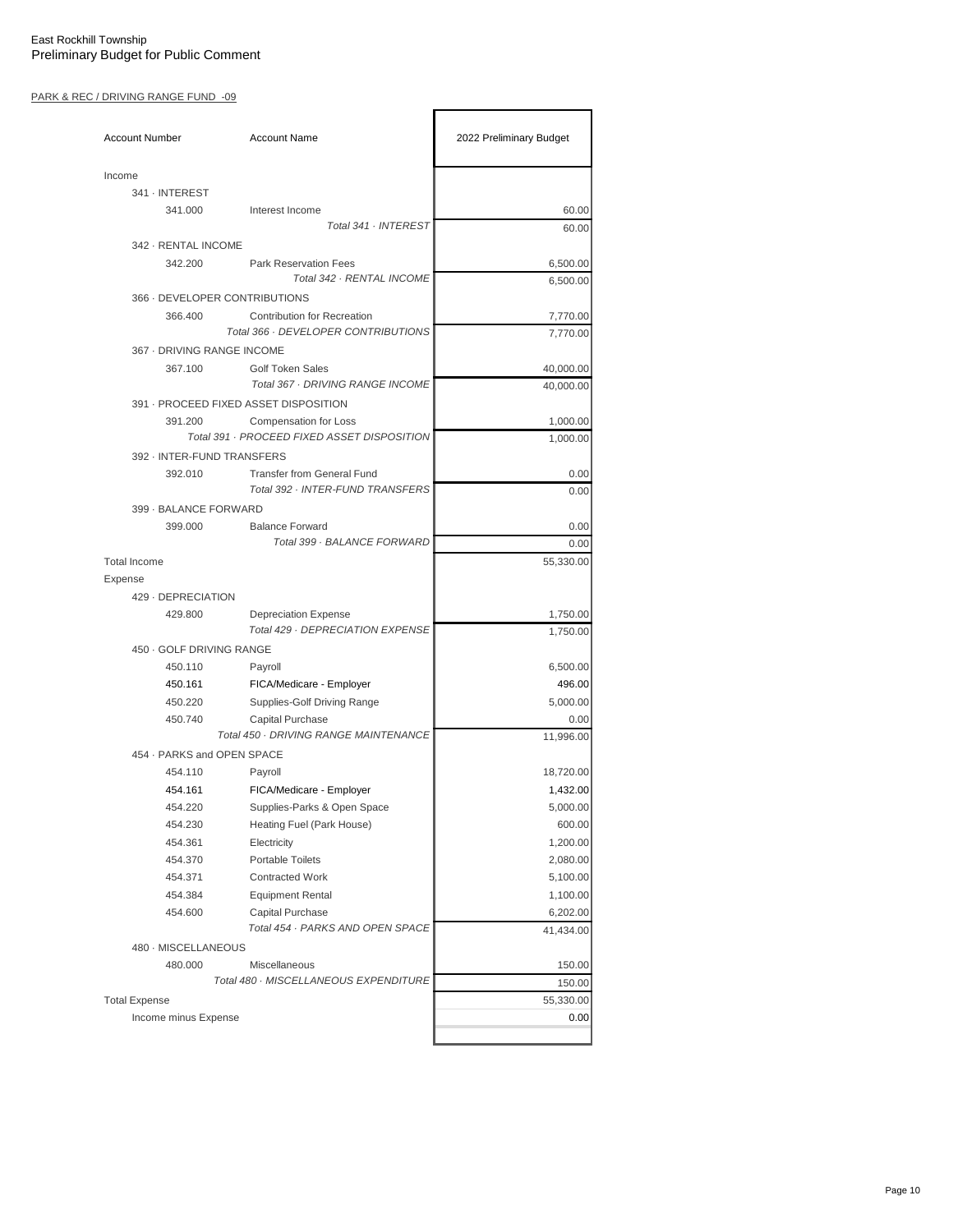### PARK & REC / DRIVING RANGE FUND -09

| <b>Account Number</b>         | <b>Account Name</b>                                             | 2022 Preliminary Budget     |
|-------------------------------|-----------------------------------------------------------------|-----------------------------|
| Income                        |                                                                 |                             |
| 341 · INTEREST                |                                                                 |                             |
| 341.000                       | Interest Income                                                 | 60.00                       |
|                               | Total 341 · INTEREST                                            | 60.00                       |
| 342 - RENTAL INCOME           |                                                                 |                             |
| 342.200                       | <b>Park Reservation Fees</b><br>Total 342 · RENTAL INCOME       | 6,500.00<br>6,500.00        |
| 366 - DEVELOPER CONTRIBUTIONS |                                                                 |                             |
| 366,400                       | <b>Contribution for Recreation</b>                              | 7,770.00                    |
|                               | Total 366 · DEVELOPER CONTRIBUTIONS                             | 7,770.00                    |
| 367 - DRIVING RANGE INCOME    |                                                                 |                             |
| 367.100                       | <b>Golf Token Sales</b>                                         | 40,000.00                   |
|                               | Total 367 · DRIVING RANGE INCOME                                | 40,000.00                   |
|                               | 391 - PROCEED FIXED ASSET DISPOSITION                           |                             |
| 391.200                       | <b>Compensation for Loss</b>                                    | 1,000.00                    |
|                               | Total 391 · PROCEED FIXED ASSET DISPOSITION                     | 1.000.00                    |
| 392 - INTER-FUND TRANSFERS    |                                                                 |                             |
| 392.010                       | <b>Transfer from General Fund</b>                               | 0.00                        |
|                               | Total 392 · INTER-FUND TRANSFERS                                | 0.00                        |
| 399 - BALANCE FORWARD         |                                                                 |                             |
| 399.000                       | <b>Balance Forward</b>                                          | 0.00                        |
|                               | Total 399 · BALANCE FORWARD                                     | 0.00                        |
| <b>Total Income</b>           |                                                                 | 55,330.00                   |
| Expense                       |                                                                 |                             |
| 429 - DEPRECIATION            |                                                                 |                             |
| 429.800                       | <b>Depreciation Expense</b><br>Total 429 · DEPRECIATION EXPENSE | 1,750.00<br>1,750.00        |
| 450 · GOLF DRIVING RANGE      |                                                                 |                             |
| 450.110                       | Payroll                                                         | 6,500.00                    |
| 450.161                       | FICA/Medicare - Employer                                        | 496.00                      |
| 450.220                       | Supplies-Golf Driving Range                                     | 5,000.00                    |
| 450.740                       | <b>Capital Purchase</b>                                         | 0.00                        |
|                               | Total 450 · DRIVING RANGE MAINTENANCE                           | 11,996.00                   |
| 454 · PARKS and OPEN SPACE    |                                                                 |                             |
| 454.110                       | Payroll                                                         | 18,720.00                   |
| 454.161                       | FICA/Medicare - Employer                                        | 1,432.00                    |
| 454.220                       | Supplies-Parks & Open Space                                     | 5,000.00                    |
| 454.230                       | Heating Fuel (Park House)                                       | 600.00                      |
| 454.361                       | Electricity                                                     | 1,200.00                    |
| 454.370                       | <b>Portable Toilets</b>                                         | 2,080.00                    |
| 454.371                       | <b>Contracted Work</b>                                          | 5,100.00                    |
| 454.384                       | <b>Equipment Rental</b>                                         | 1,100.00                    |
| 454.600                       | Capital Purchase<br>Total 454 · PARKS AND OPEN SPACE            | 6,202.00<br>41,434.00       |
| 480 · MISCELLANEOUS           |                                                                 |                             |
|                               |                                                                 |                             |
| 480.000                       | Miscellaneous                                                   | 150.00                      |
|                               | Total 480 · MISCELLANEOUS EXPENDITURE                           |                             |
| <b>Total Expense</b>          |                                                                 |                             |
| Income minus Expense          |                                                                 | 150.00<br>55,330.00<br>0.00 |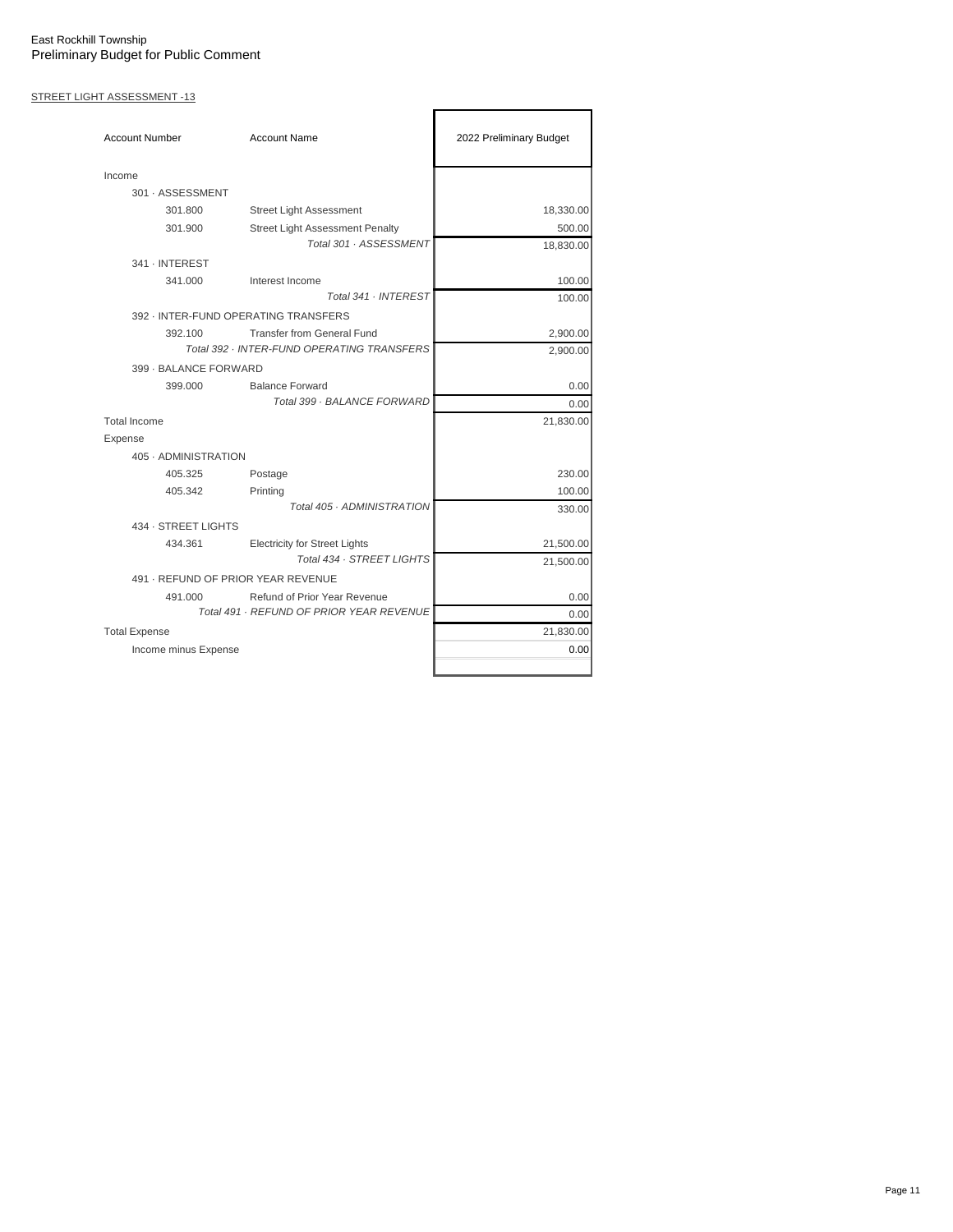## STREET LIGHT ASSESSMENT -13

| <b>Account Number</b>              | <b>Account Name</b>                        | 2022 Preliminary Budget |
|------------------------------------|--------------------------------------------|-------------------------|
| Income                             |                                            |                         |
| 301 - ASSESSMENT                   |                                            |                         |
| 301.800                            | <b>Street Light Assessment</b>             | 18,330.00               |
| 301.900                            | <b>Street Light Assessment Penalty</b>     | 500.00                  |
|                                    | Total 301 · ASSESSMENT                     | 18,830.00               |
| 341 · INTEREST                     |                                            |                         |
| 341.000                            | Interest Income                            | 100.00                  |
|                                    | Total 341 . INTEREST                       | 100.00                  |
|                                    | 392 - INTER-FUND OPERATING TRANSFERS       |                         |
| 392.100                            | <b>Transfer from General Fund</b>          | 2,900.00                |
|                                    | Total 392 · INTER-FUND OPERATING TRANSFERS | 2,900.00                |
| 399 - BALANCE FORWARD              |                                            |                         |
| 399.000                            | <b>Balance Forward</b>                     | 0.00                    |
|                                    | Total 399 · BALANCE FORWARD                | 0.00                    |
| <b>Total Income</b>                |                                            | 21,830.00               |
| Expense                            |                                            |                         |
| 405 · ADMINISTRATION               |                                            |                         |
| 405.325                            | Postage                                    | 230.00                  |
| 405.342                            | Printing                                   | 100.00                  |
|                                    | Total 405 · ADMINISTRATION                 | 330.00                  |
| 434 · STREET LIGHTS                |                                            |                         |
| 434.361                            | <b>Electricity for Street Lights</b>       | 21,500.00               |
|                                    | Total 434 · STREET LIGHTS                  | 21,500.00               |
| 491 · REFUND OF PRIOR YEAR REVENUE |                                            |                         |
| 491.000                            | Refund of Prior Year Revenue               | 0.00                    |
|                                    | Total 491 · REFUND OF PRIOR YEAR REVENUE   | 0.00                    |
| <b>Total Expense</b>               |                                            | 21,830.00               |
| Income minus Expense               |                                            | 0.00                    |
|                                    |                                            |                         |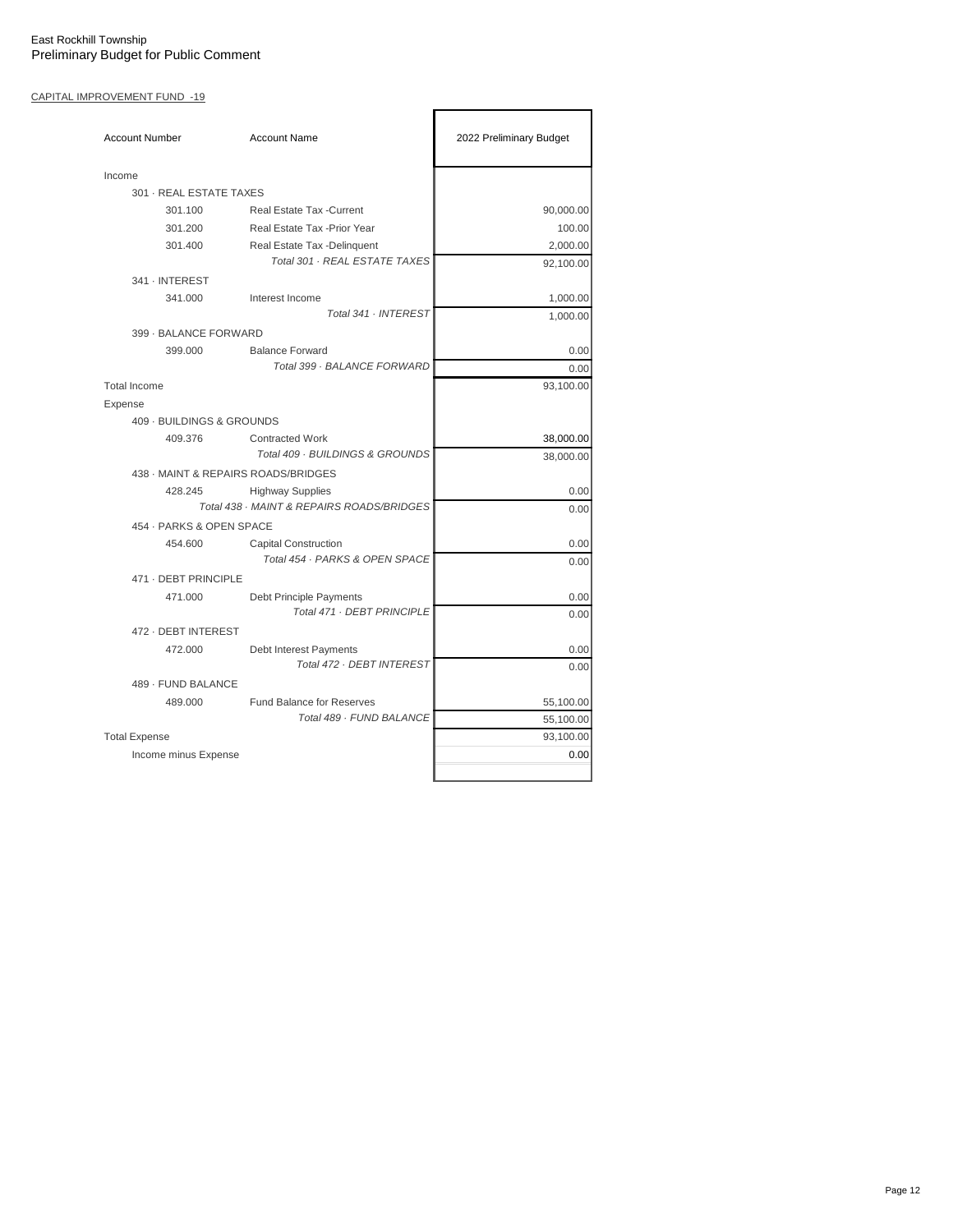## CAPITAL IMPROVEMENT FUND -19

| <b>Account Number</b>               | <b>Account Name</b>                                                  | 2022 Preliminary Budget |
|-------------------------------------|----------------------------------------------------------------------|-------------------------|
| Income                              |                                                                      |                         |
| 301 · REAL ESTATE TAXES             |                                                                      |                         |
| 301.100                             | <b>Real Estate Tax - Current</b>                                     | 90,000.00               |
| 301.200                             | Real Estate Tax - Prior Year                                         | 100.00                  |
| 301.400                             | Real Estate Tax -Delinquent<br>Total 301 · REAL ESTATE TAXES         | 2,000.00<br>92,100.00   |
| 341 · INTEREST                      |                                                                      |                         |
| 341.000                             | Interest Income<br>Total 341 . INTEREST                              | 1,000.00<br>1,000.00    |
| 399 - BALANCE FORWARD               |                                                                      |                         |
| 399.000                             | <b>Balance Forward</b>                                               | 0.00                    |
|                                     | Total 399 · BALANCE FORWARD                                          | 0.00                    |
| <b>Total Income</b>                 |                                                                      | 93,100.00               |
| Expense                             |                                                                      |                         |
| 409 · BUILDINGS & GROUNDS           |                                                                      |                         |
| 409.376                             | <b>Contracted Work</b><br>Total 409 · BUILDINGS & GROUNDS            | 38,000.00<br>38,000.00  |
| 438 - MAINT & REPAIRS ROADS/BRIDGES |                                                                      |                         |
| 428.245                             | <b>Highway Supplies</b><br>Total 438 · MAINT & REPAIRS ROADS/BRIDGES | 0.00<br>0.00            |
| 454 · PARKS & OPEN SPACE            |                                                                      |                         |
| 454.600                             | <b>Capital Construction</b>                                          | 0.00                    |
|                                     | Total 454 · PARKS & OPEN SPACE                                       | 0.00                    |
| 471 - DEBT PRINCIPLE                |                                                                      |                         |
| 471.000                             | Debt Principle Payments                                              | 0.00                    |
|                                     | Total 471 · DEBT PRINCIPLE                                           | 0.00                    |
| 472 - DEBT INTEREST                 |                                                                      |                         |
| 472.000                             | Debt Interest Payments<br>Total 472 · DEBT INTEREST                  | 0.00<br>0.00            |
| 489 - FUND BALANCE                  |                                                                      |                         |
| 489.000                             | <b>Fund Balance for Reserves</b>                                     | 55,100.00               |
|                                     | Total 489 · FUND BALANCE                                             | 55,100.00               |
| <b>Total Expense</b>                |                                                                      | 93,100.00               |
| Income minus Expense                |                                                                      | 0.00                    |
|                                     |                                                                      |                         |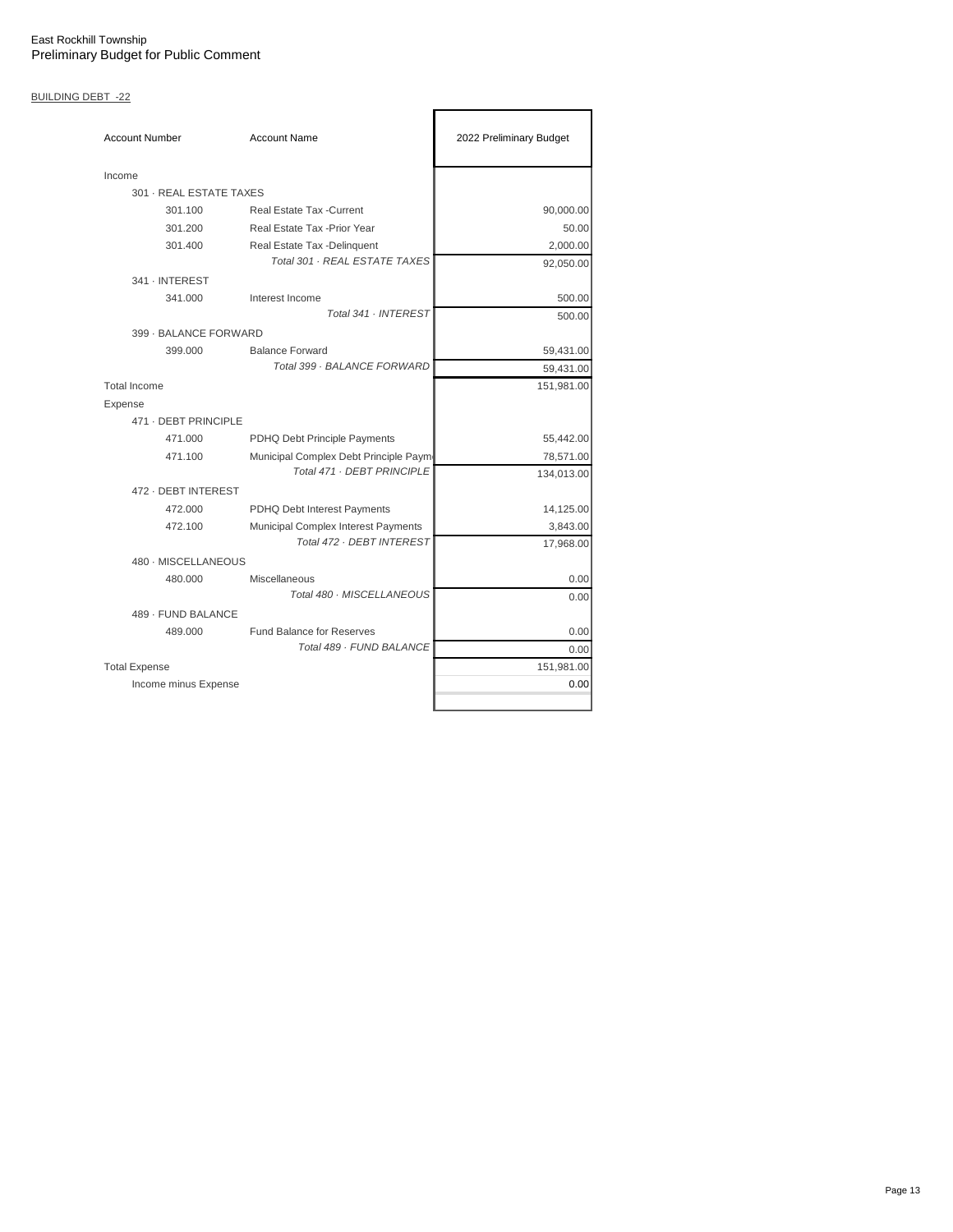# BUILDING DEBT -22

| <b>Account Number</b>   | <b>Account Name</b>                                          | 2022 Preliminary Budget |
|-------------------------|--------------------------------------------------------------|-------------------------|
| Income                  |                                                              |                         |
| 301 - REAL ESTATE TAXES |                                                              |                         |
| 301.100                 | Real Estate Tax - Current                                    | 90,000.00               |
| 301.200                 | Real Estate Tax - Prior Year                                 | 50.00                   |
| 301.400                 | Real Estate Tax -Delinguent<br>Total 301 - REAL ESTATE TAXES | 2,000.00<br>92,050.00   |
| 341 - INTEREST          |                                                              |                         |
| 341.000                 | Interest Income                                              | 500.00                  |
|                         | Total 341 · INTEREST                                         | 500.00                  |
| 399 - BALANCE FORWARD   |                                                              |                         |
| 399.000                 | <b>Balance Forward</b>                                       | 59,431.00               |
|                         | Total 399 · BALANCE FORWARD                                  | 59,431.00               |
| <b>Total Income</b>     |                                                              | 151,981.00              |
| Expense                 |                                                              |                         |
| 471 - DEBT PRINCIPLE    |                                                              |                         |
| 471.000                 | PDHQ Debt Principle Payments                                 | 55,442.00               |
| 471.100                 | Municipal Complex Debt Principle Paym                        | 78,571.00               |
|                         | Total 471 . DEBT PRINCIPLE                                   | 134,013.00              |
| 472 - DEBT INTEREST     |                                                              |                         |
| 472.000                 | PDHQ Debt Interest Payments                                  | 14,125.00               |
| 472.100                 | Municipal Complex Interest Payments                          | 3,843.00                |
|                         | Total 472 · DEBT INTEREST                                    | 17,968.00               |
| 480 - MISCELLANEOUS     |                                                              |                         |
| 480.000                 | Miscellaneous                                                | 0.00                    |
|                         | Total 480 · MISCELLANEOUS                                    | 0.00                    |
| 489 - FUND BALANCE      |                                                              |                         |
| 489,000                 | <b>Fund Balance for Reserves</b><br>Total 489 - FUND BALANCE | 0.00                    |
|                         |                                                              | 0.00                    |
| <b>Total Expense</b>    |                                                              | 151,981.00              |
| Income minus Expense    |                                                              | 0.00                    |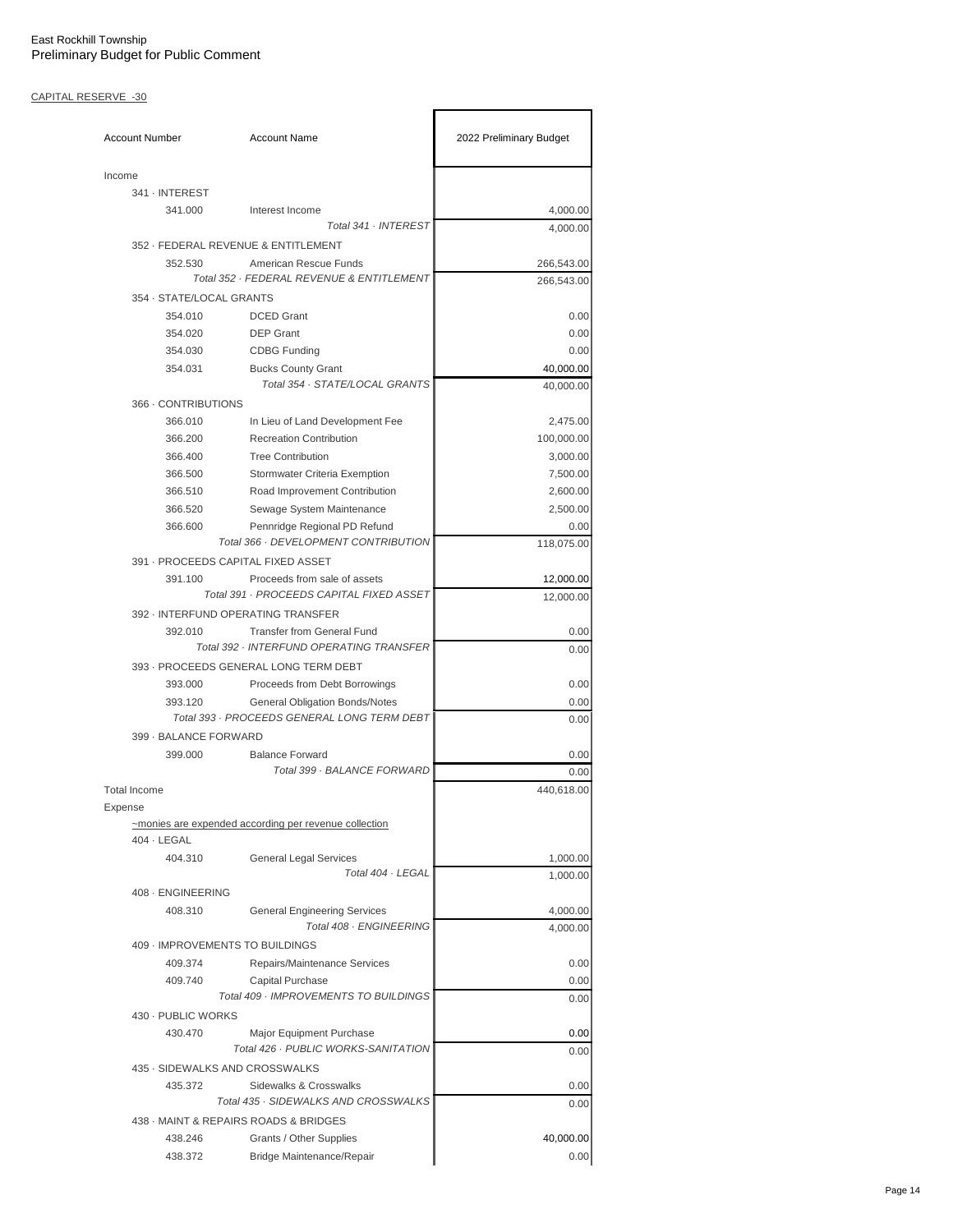## CAPITAL RESERVE -30

| <b>Account Number</b>    | <b>Account Name</b>                                                      | 2022 Preliminary Budget |
|--------------------------|--------------------------------------------------------------------------|-------------------------|
| Income                   |                                                                          |                         |
| 341 · INTEREST           |                                                                          |                         |
| 341.000                  | Interest Income                                                          | 4,000.00                |
|                          | Total 341 · INTEREST                                                     | 4,000.00                |
|                          | 352 - FEDERAL REVENUE & ENTITLEMENT                                      |                         |
| 352.530                  | American Rescue Funds                                                    | 266,543.00              |
|                          | Total 352 · FEDERAL REVENUE & ENTITLEMENT                                | 266,543.00              |
| 354 · STATE/LOCAL GRANTS |                                                                          |                         |
| 354.010                  | <b>DCED</b> Grant                                                        | 0.00                    |
| 354.020                  | <b>DEP Grant</b>                                                         | 0.00                    |
| 354.030                  | <b>CDBG Funding</b>                                                      | 0.00                    |
| 354.031                  | <b>Bucks County Grant</b>                                                | 40,000.00               |
|                          | Total 354 · STATE/LOCAL GRANTS                                           | 40,000.00               |
| 366 - CONTRIBUTIONS      |                                                                          |                         |
| 366.010                  | In Lieu of Land Development Fee                                          | 2,475.00                |
| 366.200                  | <b>Recreation Contribution</b>                                           | 100,000.00              |
| 366.400                  | <b>Tree Contribution</b>                                                 | 3,000.00                |
| 366.500                  | Stormwater Criteria Exemption                                            | 7,500.00                |
| 366.510                  | Road Improvement Contribution                                            | 2,600.00                |
| 366.520                  | Sewage System Maintenance                                                | 2,500.00                |
| 366,600                  | Pennridge Regional PD Refund                                             | 0.00                    |
|                          | Total 366 · DEVELOPMENT CONTRIBUTION                                     | 118,075.00              |
|                          | 391 - PROCEEDS CAPITAL FIXED ASSET                                       |                         |
| 391.100                  | Proceeds from sale of assets<br>Total 391 · PROCEEDS CAPITAL FIXED ASSET | 12,000.00               |
|                          | 392 - INTERFUND OPERATING TRANSFER                                       | 12,000.00               |
| 392.010                  | <b>Transfer from General Fund</b>                                        |                         |
|                          | Total 392 · INTERFUND OPERATING TRANSFER                                 | 0.00                    |
|                          | 393 - PROCEEDS GENERAL LONG TERM DEBT                                    | 0.00                    |
| 393.000                  | Proceeds from Debt Borrowings                                            | 0.00                    |
| 393.120                  | <b>General Obligation Bonds/Notes</b>                                    | 0.00                    |
|                          | Total 393 - PROCEEDS GENERAL LONG TERM DEBT                              | 0.00                    |
| 399 - BALANCE FORWARD    |                                                                          |                         |
| 399.000                  | <b>Balance Forward</b>                                                   | 0.00                    |
|                          | Total 399 · BALANCE FORWARD                                              | 0.00                    |
| <b>Total Income</b>      |                                                                          | 440,618.00              |
| Expense                  |                                                                          |                         |
|                          | ~monies are expended according per revenue collection                    |                         |
| $404 \cdot$ LEGAL        |                                                                          |                         |
| 404.310                  | <b>General Legal Services</b>                                            | 1,000.00                |
|                          | Total 404 · LEGAL                                                        | 1,000.00                |
| 408 · ENGINEERING        |                                                                          |                         |
| 408.310                  | <b>General Engineering Services</b>                                      | 4,000.00                |
|                          | Total 408 · ENGINEERING                                                  | 4,000.00                |
|                          | 409 - IMPROVEMENTS TO BUILDINGS                                          |                         |
| 409.374                  | Repairs/Maintenance Services                                             | 0.00                    |
| 409.740                  | Capital Purchase                                                         | 0.00                    |
|                          | Total 409 · IMPROVEMENTS TO BUILDINGS                                    | 0.00                    |
| 430 - PUBLIC WORKS       |                                                                          |                         |
| 430.470                  | Major Equipment Purchase                                                 | 0.00                    |
|                          | Total 426 · PUBLIC WORKS-SANITATION                                      | 0.00                    |
|                          | 435 - SIDEWALKS AND CROSSWALKS                                           |                         |
| 435.372                  | Sidewalks & Crosswalks                                                   | 0.00                    |
|                          | Total 435 · SIDEWALKS AND CROSSWALKS                                     | 0.00                    |
|                          | 438 - MAINT & REPAIRS ROADS & BRIDGES                                    |                         |
| 438.246                  | Grants / Other Supplies                                                  | 40,000.00               |
| 438.372                  | Bridge Maintenance/Repair                                                | 0.00                    |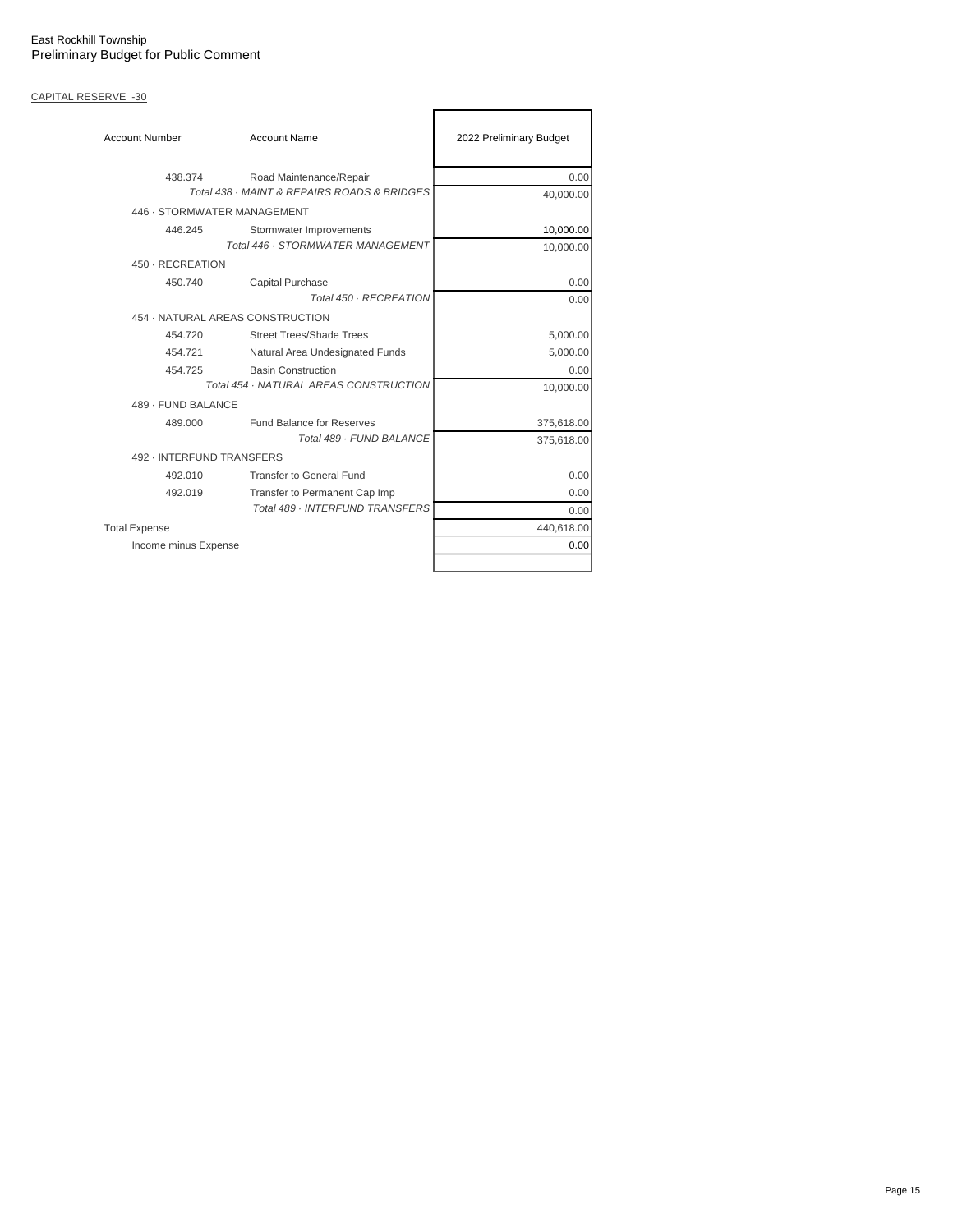# CAPITAL RESERVE -30

| <b>Account Number</b>                       | <b>Account Name</b>               | 2022 Preliminary Budget |
|---------------------------------------------|-----------------------------------|-------------------------|
| 438.374                                     | Road Maintenance/Repair           | 0.00                    |
| Total 438 · MAINT & REPAIRS ROADS & BRIDGES | 40,000.00                         |                         |
| 446 - STORMWATER MANAGEMENT                 |                                   |                         |
| 446.245                                     | Stormwater Improvements           | 10,000.00               |
|                                             | Total 446 · STORMWATER MANAGEMENT | 10,000.00               |
| 450 - RECREATION                            |                                   |                         |
| 450.740                                     | Capital Purchase                  | 0.00                    |
|                                             | Total 450 · RECREATION            | 0.00                    |
| 454 · NATURAL AREAS CONSTRUCTION            |                                   |                         |
| 454.720                                     | <b>Street Trees/Shade Trees</b>   | 5,000.00                |
| 454.721                                     | Natural Area Undesignated Funds   | 5,000.00                |
| 454.725                                     | <b>Basin Construction</b>         | 0.00                    |
| Total 454 · NATURAL AREAS CONSTRUCTION      |                                   | 10,000.00               |
| 489 - FUND BALANCE                          |                                   |                         |
| 489.000                                     | Fund Balance for Reserves         | 375,618.00              |
|                                             | Total 489 - FUND BALANCE          | 375,618.00              |
| 492 - INTERFUND TRANSFERS                   |                                   |                         |
| 492.010                                     | <b>Transfer to General Fund</b>   | 0.00                    |
| 492.019                                     | Transfer to Permanent Cap Imp     | 0.00                    |
|                                             | Total 489 · INTERFUND TRANSFERS   | 0.00                    |
| <b>Total Expense</b>                        |                                   | 440,618.00              |
| Income minus Expense                        |                                   | 0.00                    |
|                                             |                                   |                         |